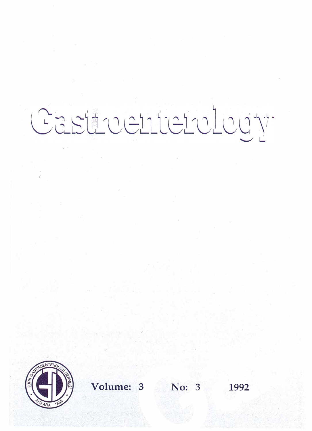# Castrochterology



**Volume: 3 No: 3** 1992

/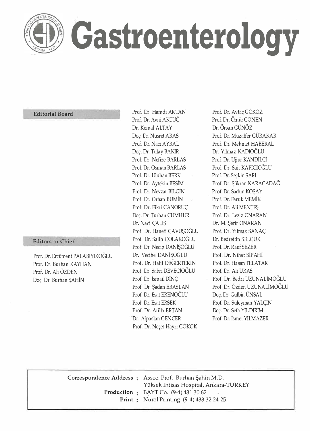

## **Gastroenterology**

## **Editorial Board**

#### **Editors in Chief**

Prof. Dr. Ercüment PALABIYIKOĞLU Prof. Dr. Burhan KAYHAN Prof. Dr. Ali ÖZDEN Doç. Dr. Burhan ŞAHİN

Prof. Dr. Hamdi AKTAN Prof. Dr. Avni AKTUĞ Dr. Kemal ALTAY Doç. Dr. Nusret ARAS Prof. Dr. Naci AYRAL Doç. Dr. Tülay BAKIR Prof. Dr. Nefize BARLAS Prof. Dr. Osman BARLAS Prof. Dr. Uluhan BERK Prof. Dr. Aytekin BESİM Prof. Dr. Nevzat BİLGİN Prof. Dr. Orhan BUMİN Prof. Dr. Fikri CANORUÇ Doç. Dr. Turhan CUMHUR Dr. Naci ÇALIŞ Prof. Dr. Hanefi ÇA VUŞOĞLU Prof. Dr. Salih ÇOLAKOĞLU Prof. Dr. Necib DANİŞOĞLU Dr. Vecihe DANİŞOĞLU Prof. Dr. Halil DEĞERTEKİN Prof. Dr. Sabri DEVECİOĞLU Prof. Dr. İsmail DİNÇ Prof. Dr. Şadan ERASLAN Prof. Dr. Esat ERENOĞLU Prof. Dr. Esat ERSEK Prof. Dr. Atilla ERTAN Dr. Alpaslan GENCER Prof. Dr. Neşet Hayri GÖKOK

Prof. Dr. Aytaç GÖKÖZ Prof. Dr. Ömür GÖNEN Dr. Örsan GÜNÖZ Prof. Dr. Muzaffer GÜRAKAR Prof. Dr. Mehmet HABERAL Dr. Yılmaz KADIOĞLU Prof. Dr. Uğur KANDİLCİ Prof. Dr. Sait KAPICIOĞLU Prof. Dr. Seçkin SARI Prof. Dr. Şükran KARACADAĞ Prof. Dr. Sadun KOŞAY Prof. Dr. Faruk MEMİK Prof. Dr. Ali MENTEŞ Prof. Dr. Leziz ONARAN Dr. M. Şerif ONARAN Prof. Dr. Yılmaz SANAÇ Dr. Bedrettin SELÇUK Prof. Dr. Rauf SEZER Prof. Dr. Nihat SİPAHİ Prof. Dr. Hasan TELATAR Prof. Dr. Ali URAS Prof. Dr. Bedri UZUNALİMOĞLU Prof. Dr. Özden UZUNALİMOĞLU Doç. Dr. Gülbin ÜNSAL Prof. Dr. Süleyman YALÇIN Doç. Dr. Sefa YILDIRIM Prof. Dr. İsmet YILMAZER

**Correspondence Address : Assoc. Prof. Burhan Şahin M.D. Production : BAYT Co. (9-4) 431 30 62 Print**  Nurol Printing (9-4) 433 32 24-25 Yüksek İhtisas Hospital, Ankara-TURKEY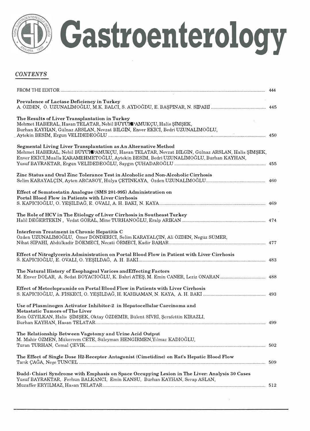

## *CONTENTS*

| <b>Prevalence of Lactase Deficiency in Turkey</b>                                                                                                                                                                                                          |  |
|------------------------------------------------------------------------------------------------------------------------------------------------------------------------------------------------------------------------------------------------------------|--|
| The Results of Liver Transplantation in Turkey<br>Mehmet HABERAL, Hasan TELATAR, Nebil BÜYÜHPAMUKÇU, Halis ŞİMŞEK,<br>Burhan KAYHAN, Gülnaz ARSLAN, Nevzat BILGIN, Enver EKICI, Bedri UZUNALIMOĞLU,                                                        |  |
| Segmental Living Liver Transplantation as An Alternative Method<br>Mehmet HABERAL, Nebil BÜYÜFPAMUKÇU, Hasan TELATAR, Nevzat BİLGİN, Gülnaz ARSLAN, Halis ŞİMŞEK,<br>Enver EKICI, Mualla KARAMEHMETOĞLU, Aytekin BESİM, Bedri UZUNALİMOĞLU, Burhan KAYHAN, |  |
| Zinc Status and Oral Zinc Tolerance Test in Alcoholic and Non-Alcoholic Cirrhosis                                                                                                                                                                          |  |
| Effect of Somatostatin Analogue (SMS 201-995) Administration on<br>Portal Blood Flow in Patients with Liver Cirrhosis                                                                                                                                      |  |
| The Role of HCV in The Etiology of Liver Cirrhosis in Southeast Turkey                                                                                                                                                                                     |  |
| Interferon Treatment in Chronic Hepatitis C<br>Özden UZUNALIMOĞLU, Ömer DÖNDERICI, Selim KARAYALÇIN, Ali ÖZDEN, Negüz SÜMER,                                                                                                                               |  |
| Effect of Nitroglycerin Administration on Portal Blood Flow in Patient with Liver Cirrhosis                                                                                                                                                                |  |
| The Natural History of Esophageal Varices and Effecting Factors                                                                                                                                                                                            |  |
| Effect of Metoclopramide on Portal Blood Flow in Patients with Liver Cirrhosis                                                                                                                                                                             |  |
| Use of Plasminogen Activator Inhibitor-2 in Hepatocellular Carcinoma and<br><b>Metastatic Tumors of The Liver</b><br>Esin ÖZYILKAN, Halis ŞIMŞEK, Oktay ÖZDEMİR, Bülent SİVRİ, Şerafettin KİRAZLI,                                                         |  |
| The Relationship Between Vagotomy and Urine Acid Output<br>M. Mahir ÖZMEN, Mükerrem CETE, Süleyman HENGIRMEN, Yılmaz KADIOĞLU,                                                                                                                             |  |
| The Effect of Single Dose H2-Receptor Antagonist (Cimetidine) on Rat's Hepatic Blood Flow                                                                                                                                                                  |  |
| Budd Chiari Syndrome with Emphasis on Space Occupying Lesion in The Liver: Analysis 30 Cases<br>Yusuf BAYRAKTAR, Ferhun BALKANCI, Emin KANSU, Burhan KAYHAN, Serap ASLAN,                                                                                  |  |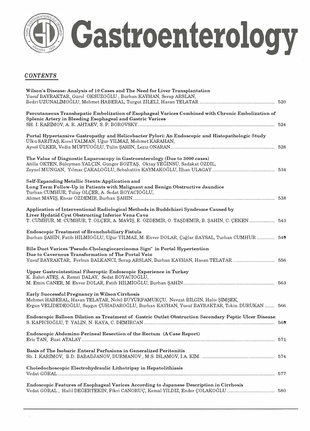

## *CONTENTS*

| Wilson's Disease: Analysis of 10 Cases and The Need for Liver Transplantation<br>Yusuf BAYRAKTAR, Gürol ÖKSÜZOĞLU, Burhan KAYHAN, Serap ARSLAN,                                                                                        |     |
|----------------------------------------------------------------------------------------------------------------------------------------------------------------------------------------------------------------------------------------|-----|
| Percutaneous Transhepatic Embolization of Esophageal Varices Combined with Chronic Embolization of<br>Splenic Artery in Bleeding Esophageal and Gastric Varices                                                                        |     |
| Portal Hypertansive Gastropathy and Helicobacter Pylori: An Endoscopic and Histopathologic Study<br>Ülkü SARITAŞ, Korel YALMAN, Uğur YILMAZ, Mehmet KARAHAN,                                                                           |     |
| The Value of Diagnostic Laparoscopy in Gastroenterology (Due to 3000 cases)<br>Atilla ÖKTEN, Süleyman YALÇIN, Güngör BOZTAŞ, Oktay YEĞINSÜ, Sadakat ÖZDİL,                                                                             |     |
| Self-Expanding Metallic Stents: Application and<br>Long Term Follow-Up in Patients with Malignant and Benign Obstructive Jaundice<br>Turhan CUMHUR, Tülay ÖLÇER, A. Sedat BOYACIOĞLU,                                                  |     |
| Application of Interventional Radiological Methods in Buddchiari Syndrome Caused by<br>Liver Hydatid Cyst Obstructing Inferior Vena Cava<br>T. CUMHUR, M. CUMHUR, T. ÖLÇER, A. MAVIŞ, E. ÖZDEMIR, O. TAŞDEMIR, B. ŞAHIN, C. ÇEKEN  543 |     |
| <b>Endoscopic Treatment of Bronchobiliary Fistula</b><br>Burhan ŞAHIN, Fatih HILMİOĞLU, Uğur YILMAZ, M. Enver DOLAR, Çağlar BAYSAL, Turhan CUMHUR  549                                                                                 |     |
| Bile Duct Varices 'Pseudo-Cholangiocarcinoma Sign" in Portal Hypertention<br>Due to Cavernous Transformation of The Portal Vein<br>Yusuf BAYRAKTAR, Ferhun BALKANCI, Serap ARSLAN, Burhan KAYHAN, Hasan TELATAR 556                    |     |
| Upper Gastrointestinal Fiberoptic Endoscopic Experience in Turkey<br>K. Bahri ATEŞ, A. Remzi DALAY, Sedat BOYACIOĞLU,                                                                                                                  |     |
| Early Successful Pregnancy in Wilson Cirrhosis<br>Mehmet HABERAL, Hasan TELATAR, Nebil BÜYÜKPAMUKÇU, Nevzat BILGIN, Halis ŞIMŞEK,<br>Ergun VELIDEDEOĞLU, Saygın ÇUHADAROĞLU, Burhan KAYHAN, Yusuf BAYRAKTAR, Tekin DURUKAN  566        |     |
| Endoscopic Balloon Dilation as Treatment of Gastric Outlet Obstruction Secondary Peptic Ulcer Disease                                                                                                                                  |     |
| Endoscopic Abdomino-Perineal Resection of the Rectum (A Case Report)                                                                                                                                                                   | 571 |
| Basis of The Isobaric Enteral Perfusions in Generalized Peritonitis                                                                                                                                                                    |     |
| Choledochoscopic Electrohydraulic Lithotripsy in Hepatolithiasis                                                                                                                                                                       |     |
| Endoscopic Features of Esophageal Varices According to Japanese Description in Cirrhosis<br>Vedat GÖRAL, Halil DEĞERTEKIN, Fikri CANORUÇ, Kemal YILDIZ, Ender ÇOLAKOĞLU 580                                                            |     |